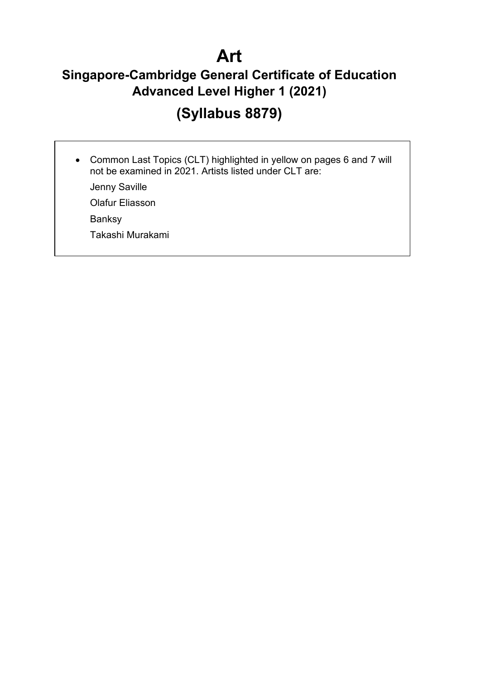# **Art**

# **Singapore-Cambridge General Certificate of Education Advanced Level Higher 1 (2021)**

# **(Syllabus 8879)**

• Common Last Topics (CLT) highlighted in yellow on pages 6 and 7 will not be examined in 2021. Artists listed under CLT are:

Jenny Saville

Olafur Eliasson

Banksy

Takashi Murakami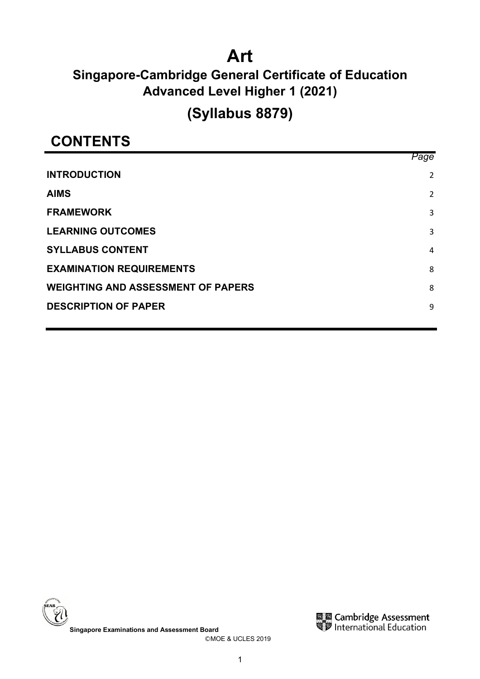# **Art**

# **Singapore-Cambridge General Certificate of Education Advanced Level Higher 1 (2021)**

# **(Syllabus 8879)**

# **CONTENTS**

|                                           | Page |
|-------------------------------------------|------|
| <b>INTRODUCTION</b>                       | 2    |
| <b>AIMS</b>                               | 2    |
| <b>FRAMEWORK</b>                          | 3    |
| <b>LEARNING OUTCOMES</b>                  | 3    |
| <b>SYLLABUS CONTENT</b>                   | 4    |
| <b>EXAMINATION REQUIREMENTS</b>           | 8    |
| <b>WEIGHTING AND ASSESSMENT OF PAPERS</b> | 8    |
| <b>DESCRIPTION OF PAPER</b>               | 9    |
|                                           |      |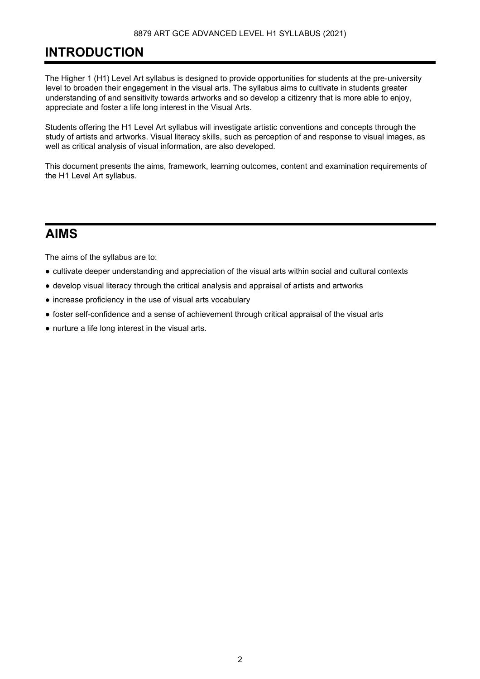# <span id="page-2-0"></span>**INTRODUCTION**

The Higher 1 (H1) Level Art syllabus is designed to provide opportunities for students at the pre-university level to broaden their engagement in the visual arts. The syllabus aims to cultivate in students greater understanding of and sensitivity towards artworks and so develop a citizenry that is more able to enjoy, appreciate and foster a life long interest in the Visual Arts.

Students offering the H1 Level Art syllabus will investigate artistic conventions and concepts through the study of artists and artworks. Visual literacy skills, such as perception of and response to visual images, as well as critical analysis of visual information, are also developed.

This document presents the aims, framework, learning outcomes, content and examination requirements of the H1 Level Art syllabus.

# <span id="page-2-1"></span>**AIMS**

The aims of the syllabus are to:

- cultivate deeper understanding and appreciation of the visual arts within social and cultural contexts
- develop visual literacy through the critical analysis and appraisal of artists and artworks
- increase proficiency in the use of visual arts vocabulary
- foster self-confidence and a sense of achievement through critical appraisal of the visual arts
- nurture a life long interest in the visual arts.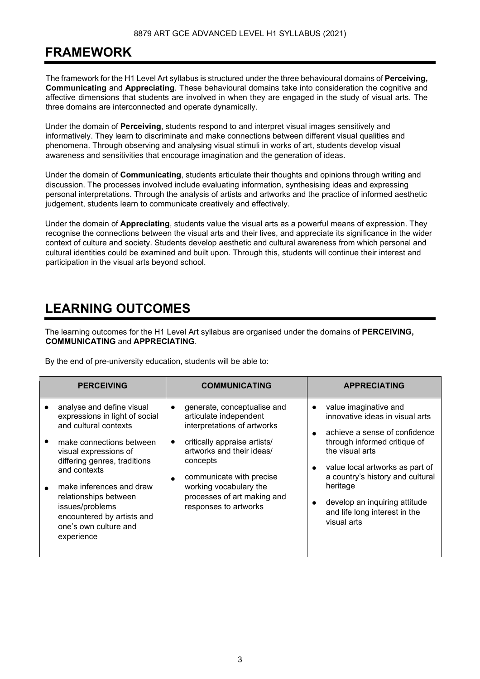# <span id="page-3-0"></span>**FRAMEWORK**

The framework for the H1 Level Art syllabus is structured under the three behavioural domains of **Perceiving, Communicating** and **Appreciating**. These behavioural domains take into consideration the cognitive and affective dimensions that students are involved in when they are engaged in the study of visual arts. The three domains are interconnected and operate dynamically.

Under the domain of **Perceiving**, students respond to and interpret visual images sensitively and informatively. They learn to discriminate and make connections between different visual qualities and phenomena. Through observing and analysing visual stimuli in works of art, students develop visual awareness and sensitivities that encourage imagination and the generation of ideas.

Under the domain of **Communicating**, students articulate their thoughts and opinions through writing and discussion. The processes involved include evaluating information, synthesising ideas and expressing personal interpretations. Through the analysis of artists and artworks and the practice of informed aesthetic judgement, students learn to communicate creatively and effectively.

Under the domain of **Appreciating**, students value the visual arts as a powerful means of expression. They recognise the connections between the visual arts and their lives, and appreciate its significance in the wider context of culture and society. Students develop aesthetic and cultural awareness from which personal and cultural identities could be examined and built upon. Through this, students will continue their interest and participation in the visual arts beyond school.

# <span id="page-3-1"></span>**LEARNING OUTCOMES**

The learning outcomes for the H1 Level Art syllabus are organised under the domains of **PERCEIVING, COMMUNICATING** and **APPRECIATING**.

By the end of pre-university education, students will be able to:

| <b>PERCEIVING</b>                                                                                                                                                                                                                                                                                                                      | <b>COMMUNICATING</b>                                                                                                                                                                                                                                                                                               | <b>APPRECIATING</b>                                                                                                                                                                                                                                                                                                           |
|----------------------------------------------------------------------------------------------------------------------------------------------------------------------------------------------------------------------------------------------------------------------------------------------------------------------------------------|--------------------------------------------------------------------------------------------------------------------------------------------------------------------------------------------------------------------------------------------------------------------------------------------------------------------|-------------------------------------------------------------------------------------------------------------------------------------------------------------------------------------------------------------------------------------------------------------------------------------------------------------------------------|
| analyse and define visual<br>expressions in light of social<br>and cultural contexts<br>make connections between<br>visual expressions of<br>differing genres, traditions<br>and contexts<br>make inferences and draw<br>relationships between<br>issues/problems<br>encountered by artists and<br>one's own culture and<br>experience | generate, conceptualise and<br>$\bullet$<br>articulate independent<br>interpretations of artworks<br>critically appraise artists/<br>$\bullet$<br>artworks and their ideas/<br>concepts<br>communicate with precise<br>$\bullet$<br>working vocabulary the<br>processes of art making and<br>responses to artworks | value imaginative and<br>$\bullet$<br>innovative ideas in visual arts<br>achieve a sense of confidence<br>through informed critique of<br>the visual arts<br>value local artworks as part of<br>a country's history and cultural<br>heritage<br>develop an inquiring attitude<br>and life long interest in the<br>visual arts |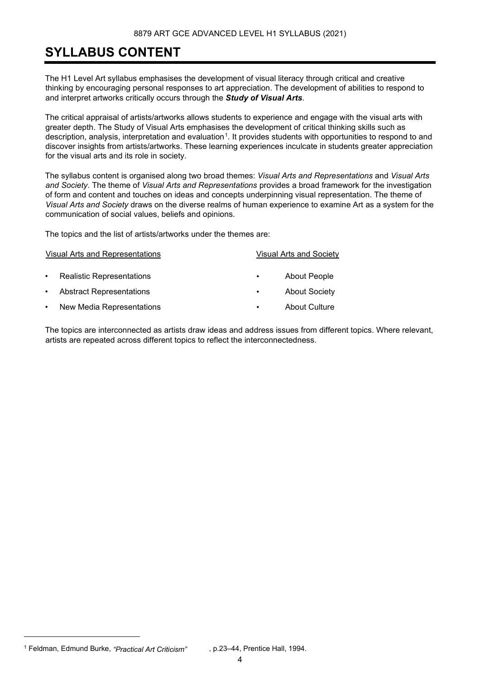# <span id="page-4-0"></span>**SYLLABUS CONTENT**

The H1 Level Art syllabus emphasises the development of visual literacy through critical and creative thinking by encouraging personal responses to art appreciation. The development of abilities to respond to and interpret artworks critically occurs through the *Study of Visual Arts*.

The critical appraisal of artists/artworks allows students to experience and engage with the visual arts with greater depth. The Study of Visual Arts emphasises the development of critical thinking skills such as description, analysis, interpretation and evaluation<sup>[1](#page-4-1)</sup>. It provides students with opportunities to respond to and discover insights from artists/artworks. These learning experiences inculcate in students greater appreciation for the visual arts and its role in society.

The syllabus content is organised along two broad themes: *Visual Arts and Representations* and *Visual Arts and Society*. The theme of *Visual Arts and Representations* provides a broad framework for the investigation of form and content and touches on ideas and concepts underpinning visual representation. The theme of *Visual Arts and Society* draws on the diverse realms of human experience to examine Art as a system for the communication of social values, beliefs and opinions.

The topics and the list of artists/artworks under the themes are:

Visual Arts and Representations Visual Arts and Society

• Realistic Representations • About People

- Abstract Representations About Society
- New Media Representations About Culture
- 
- 
- 
- 

The topics are interconnected as artists draw ideas and address issues from different topics. Where relevant, artists are repeated across different topics to reflect the interconnectedness.

<span id="page-4-1"></span><sup>1</sup> Feldman, Edmund Burke, *"Practical Art Criticism"* , p.23–44, Prentice Hall, 1994.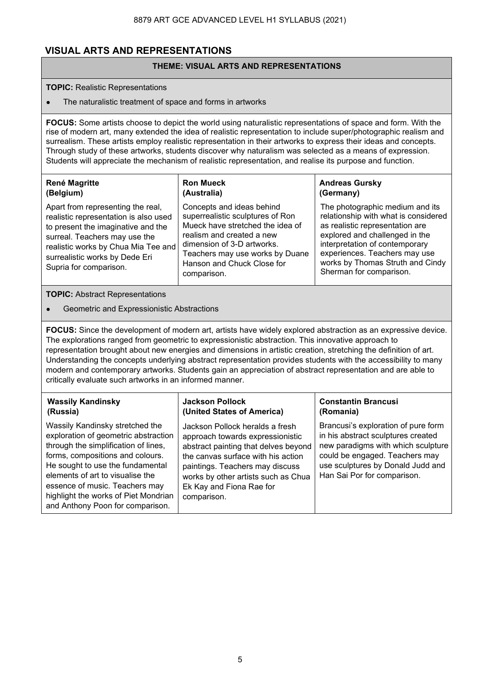# **VISUAL ARTS AND REPRESENTATIONS**

## **THEME: VISUAL ARTS AND REPRESENTATIONS**

### **TOPIC:** Realistic Representations

The naturalistic treatment of space and forms in artworks

**FOCUS:** Some artists choose to depict the world using naturalistic representations of space and form. With the rise of modern art, many extended the idea of realistic representation to include super/photographic realism and surrealism. These artists employ realistic representation in their artworks to express their ideas and concepts. Through study of these artworks, students discover why naturalism was selected as a means of expression. Students will appreciate the mechanism of realistic representation, and realise its purpose and function.

## **René Magritte (Belgium)**

#### **Ron Mueck (Australia)**

Apart from representing the real, realistic representation is also used to present the imaginative and the surreal. Teachers may use the realistic works by Chua Mia Tee and surrealistic works by Dede Eri Supria for comparison.

Concepts and ideas behind superrealistic sculptures of Ron Mueck have stretched the idea of realism and created a new dimension of 3-D artworks. Teachers may use works by Duane Hanson and Chuck Close for comparison.

## **Andreas Gursky (Germany)**

The photographic medium and its relationship with what is considered as realistic representation are explored and challenged in the interpretation of contemporary experiences. Teachers may use works by Thomas Struth and Cindy Sherman for comparison.

**TOPIC:** Abstract Representations

Geometric and Expressionistic Abstractions

**FOCUS:** Since the development of modern art, artists have widely explored abstraction as an expressive device. The explorations ranged from geometric to expressionistic abstraction. This innovative approach to representation brought about new energies and dimensions in artistic creation, stretching the definition of art. Understanding the concepts underlying abstract representation provides students with the accessibility to many modern and contemporary artworks. Students gain an appreciation of abstract representation and are able to critically evaluate such artworks in an informed manner.

## **Wassily Kandinsky (Russia)**

Wassily Kandinsky stretched the exploration of geometric abstraction through the simplification of lines, forms, compositions and colours. He sought to use the fundamental elements of art to visualise the essence of music. Teachers may highlight the works of Piet Mondrian and Anthony Poon for comparison.

## **Jackson Pollock (United States of America)**

Jackson Pollock heralds a fresh approach towards expressionistic abstract painting that delves beyond the canvas surface with his action paintings. Teachers may discuss works by other artists such as Chua Ek Kay and Fiona Rae for comparison.

## **Constantin Brancusi (Romania)**

Brancusi's exploration of pure form in his abstract sculptures created new paradigms with which sculpture could be engaged. Teachers may use sculptures by Donald Judd and Han Sai Por for comparison.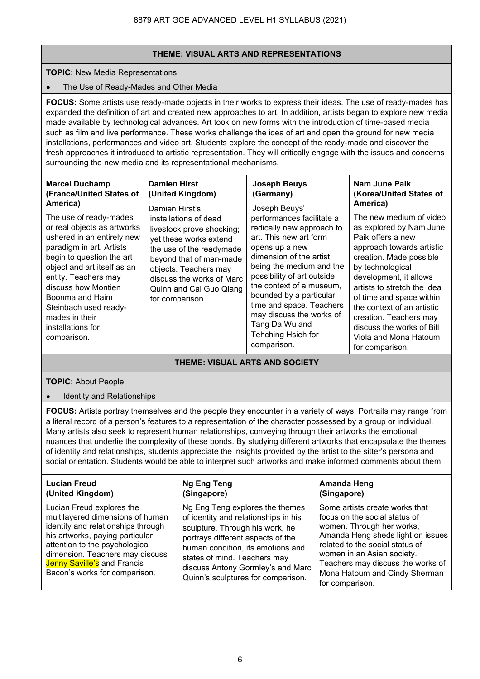## **THEME: VISUAL ARTS AND REPRESENTATIONS**

**TOPIC:** New Media Representations

## ● The Use of Ready-Mades and Other Media

**FOCUS:** Some artists use ready-made objects in their works to express their ideas. The use of ready-mades has expanded the definition of art and created new approaches to art. In addition, artists began to explore new media made available by technological advances. Art took on new forms with the introduction of time-based media such as film and live performance. These works challenge the idea of art and open the ground for new media installations, performances and video art. Students explore the concept of the ready-made and discover the fresh approaches it introduced to artistic representation. They will critically engage with the issues and concerns surrounding the new media and its representational mechanisms.

| <b>Marcel Duchamp</b><br>(France/United States of<br>America)<br>The use of ready-mades<br>or real objects as artworks<br>ushered in an entirely new<br>paradigm in art. Artists<br>begin to question the art<br>object and art itself as an<br>entity. Teachers may<br>discuss how Montien<br>Boonma and Haim<br>Steinbach used ready-<br>mades in their<br>installations for<br>comparison. | <b>Damien Hirst</b><br>(United Kingdom)<br>Damien Hirst's<br>installations of dead<br>livestock prove shocking;<br>yet these works extend<br>the use of the readymade<br>beyond that of man-made<br>objects. Teachers may<br>discuss the works of Marc<br>Quinn and Cai Guo Qiang<br>for comparison. | <b>Joseph Beuys</b><br>(Germany)<br>Joseph Beuys'<br>performances facilitate a<br>radically new approach to<br>art. This new art form<br>opens up a new<br>dimension of the artist<br>being the medium and the<br>possibility of art outside<br>the context of a museum,<br>bounded by a particular<br>time and space. Teachers<br>may discuss the works of<br>Tang Da Wu and<br>Tehching Hsieh for<br>comparison. | Nam June Paik<br>(Korea/United States of<br>America)<br>The new medium of video<br>as explored by Nam June<br>Paik offers a new<br>approach towards artistic<br>creation. Made possible<br>by technological<br>development, it allows<br>artists to stretch the idea<br>of time and space within<br>the context of an artistic<br>creation. Teachers may<br>discuss the works of Bill<br>Viola and Mona Hatoum<br>for comparison. |
|-----------------------------------------------------------------------------------------------------------------------------------------------------------------------------------------------------------------------------------------------------------------------------------------------------------------------------------------------------------------------------------------------|------------------------------------------------------------------------------------------------------------------------------------------------------------------------------------------------------------------------------------------------------------------------------------------------------|--------------------------------------------------------------------------------------------------------------------------------------------------------------------------------------------------------------------------------------------------------------------------------------------------------------------------------------------------------------------------------------------------------------------|-----------------------------------------------------------------------------------------------------------------------------------------------------------------------------------------------------------------------------------------------------------------------------------------------------------------------------------------------------------------------------------------------------------------------------------|
| THEME: VISUAL ARTS AND SOCIETY                                                                                                                                                                                                                                                                                                                                                                |                                                                                                                                                                                                                                                                                                      |                                                                                                                                                                                                                                                                                                                                                                                                                    |                                                                                                                                                                                                                                                                                                                                                                                                                                   |

## **TOPIC:** About People

Identity and Relationships

**FOCUS:** Artists portray themselves and the people they encounter in a variety of ways. Portraits may range from a literal record of a person's features to a representation of the character possessed by a group or individual. Many artists also seek to represent human relationships, conveying through their artworks the emotional nuances that underlie the complexity of these bonds. By studying different artworks that encapsulate the themes of identity and relationships, students appreciate the insights provided by the artist to the sitter's persona and social orientation. Students would be able to interpret such artworks and make informed comments about them.

| <b>Lucian Freud</b>                                                                                                                                                                                                                                                         | <b>Ng Eng Teng</b>                                                                                                                                                                                                                                                                              | <b>Amanda Heng</b>                                                                                                                                                                                                                                                                          |
|-----------------------------------------------------------------------------------------------------------------------------------------------------------------------------------------------------------------------------------------------------------------------------|-------------------------------------------------------------------------------------------------------------------------------------------------------------------------------------------------------------------------------------------------------------------------------------------------|---------------------------------------------------------------------------------------------------------------------------------------------------------------------------------------------------------------------------------------------------------------------------------------------|
| (United Kingdom)                                                                                                                                                                                                                                                            | (Singapore)                                                                                                                                                                                                                                                                                     | (Singapore)                                                                                                                                                                                                                                                                                 |
| Lucian Freud explores the<br>multilayered dimensions of human<br>identity and relationships through<br>his artworks, paying particular<br>attention to the psychological<br>dimension. Teachers may discuss<br>Jenny Saville's and Francis<br>Bacon's works for comparison. | Ng Eng Teng explores the themes<br>of identity and relationships in his<br>sculpture. Through his work, he<br>portrays different aspects of the<br>human condition, its emotions and<br>states of mind. Teachers may<br>discuss Antony Gormley's and Marc<br>Quinn's sculptures for comparison. | Some artists create works that<br>focus on the social status of<br>women. Through her works,<br>Amanda Heng sheds light on issues<br>related to the social status of<br>women in an Asian society.<br>Teachers may discuss the works of<br>Mona Hatoum and Cindy Sherman<br>for comparison. |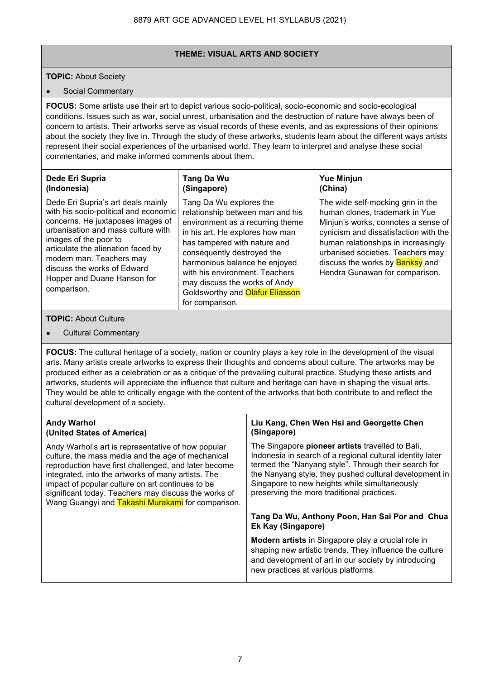## **THEME: VISUAL ARTS AND SOCIETY**

## **TOPIC:** About Society

### • Social Commentary

**FOCUS:** Some artists use their art to depict various socio-political, socio-economic and socio-ecological conditions. Issues such as war, social unrest, urbanisation and the destruction of nature have always been of concern to artists. Their artworks serve as visual records of these events, and as expressions of their opinions about the society they live in. Through the study of these artworks, students learn about the different ways artists represent their social experiences of the urbanised world. They learn to interpret and analyse these social commentaries, and make informed comments about them.

| Dede Eri Supria                       | Tang Da Wu                                    | <b>Yue Minjun</b>                                           |
|---------------------------------------|-----------------------------------------------|-------------------------------------------------------------|
| (Indonesia)                           | (Singapore)                                   | (China)                                                     |
| Dede Eri Supria's art deals mainly    | Tang Da Wu explores the                       | The wide self-mocking grin in the                           |
| with his socio-political and economic | relationship between man and his              | human clones, trademark in Yue                              |
| concerns. He juxtaposes images of     | environment as a recurring theme              | Minjun's works, connotes a sense of                         |
| urbanisation and mass culture with    | in his art. He explores how man               | cynicism and dissatisfaction with the                       |
| images of the poor to                 | has tampered with nature and                  | human relationships in increasingly                         |
| articulate the alienation faced by    | consequently destroyed the                    | urbanised societies. Teachers may                           |
| modern man. Teachers may              | la anno an tarra da allancea. Las cantarra di | alia anno a dheann a chuid ann <mark>Daoilean</mark> ann ai |

harmonious balance he enjoyed with his environment. Teachers may discuss the works of Andy Goldsworthy and **Olafur Eliasson**  discuss the works by <mark>Banksy</mark> and Hendra Gunawan for comparison.

for comparison.

### **TOPIC:** About Culture

comparison.

**Cultural Commentary** 

discuss the works of Edward Hopper and Duane Hanson for

**FOCUS:** The cultural heritage of a society, nation or country plays a key role in the development of the visual arts. Many artists create artworks to express their thoughts and concerns about culture. The artworks may be produced either as a celebration or as a critique of the prevailing cultural practice. Studying these artists and artworks, students will appreciate the influence that culture and heritage can have in shaping the visual arts. They would be able to critically engage with the content of the artworks that both contribute to and reflect the cultural development of a society.

| <b>Andy Warhol</b><br>(United States of America)                                                                                                                                                                                                                                                                                                                                       | Liu Kang, Chen Wen Hsi and Georgette Chen<br>(Singapore)                                                                                                                                                                                                                                                                       |
|----------------------------------------------------------------------------------------------------------------------------------------------------------------------------------------------------------------------------------------------------------------------------------------------------------------------------------------------------------------------------------------|--------------------------------------------------------------------------------------------------------------------------------------------------------------------------------------------------------------------------------------------------------------------------------------------------------------------------------|
| Andy Warhol's art is representative of how popular<br>culture, the mass media and the age of mechanical<br>reproduction have first challenged, and later become<br>integrated, into the artworks of many artists. The<br>impact of popular culture on art continues to be<br>significant today. Teachers may discuss the works of<br>Wang Guangyi and Takashi Murakami for comparison. | The Singapore pioneer artists travelled to Bali,<br>Indonesia in search of a regional cultural identity later<br>termed the "Nanyang style". Through their search for<br>the Nanyang style, they pushed cultural development in<br>Singapore to new heights while simultaneously<br>preserving the more traditional practices. |
|                                                                                                                                                                                                                                                                                                                                                                                        | Tang Da Wu, Anthony Poon, Han Sai Por and Chua<br><b>Ek Kay (Singapore)</b>                                                                                                                                                                                                                                                    |
|                                                                                                                                                                                                                                                                                                                                                                                        | <b>Modern artists</b> in Singapore play a crucial role in<br>shaping new artistic trends. They influence the culture<br>and development of art in our society by introducing<br>new practices at various platforms.                                                                                                            |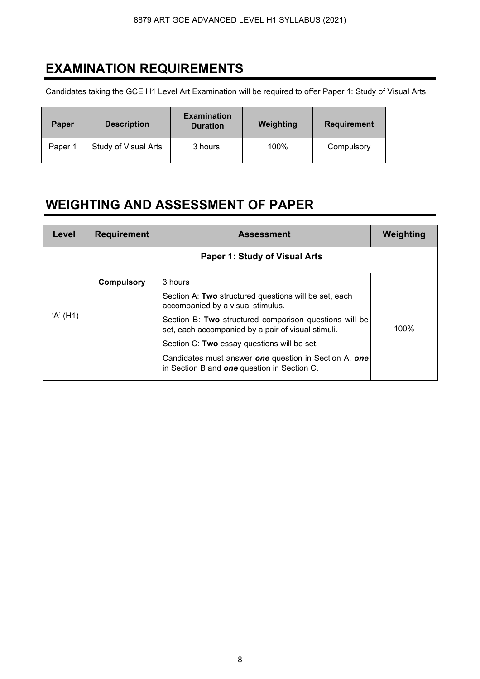# <span id="page-8-0"></span>**EXAMINATION REQUIREMENTS**

Candidates taking the GCE H1 Level Art Examination will be required to offer Paper 1: Study of Visual Arts.

| Paper   | <b>Description</b>   | <b>Examination</b><br><b>Duration</b> | Weighting | <b>Requirement</b> |
|---------|----------------------|---------------------------------------|-----------|--------------------|
| Paper 1 | Study of Visual Arts | 3 hours                               | 100%      | Compulsory         |

# <span id="page-8-1"></span>**WEIGHTING AND ASSESSMENT OF PAPER**

<span id="page-8-2"></span>

| Level    | <b>Requirement</b> | <b>Assessment</b>                                                                                            | Weighting |
|----------|--------------------|--------------------------------------------------------------------------------------------------------------|-----------|
|          |                    | Paper 1: Study of Visual Arts                                                                                |           |
|          | <b>Compulsory</b>  | 3 hours                                                                                                      |           |
| 'A' (H1) |                    | Section A: Two structured questions will be set, each<br>accompanied by a visual stimulus.                   |           |
|          |                    | Section B: Two structured comparison questions will be<br>set, each accompanied by a pair of visual stimuli. | $100\%$   |
|          |                    | Section C: Two essay questions will be set.                                                                  |           |
|          |                    | Candidates must answer one question in Section A, one<br>in Section B and <b>one</b> question in Section C.  |           |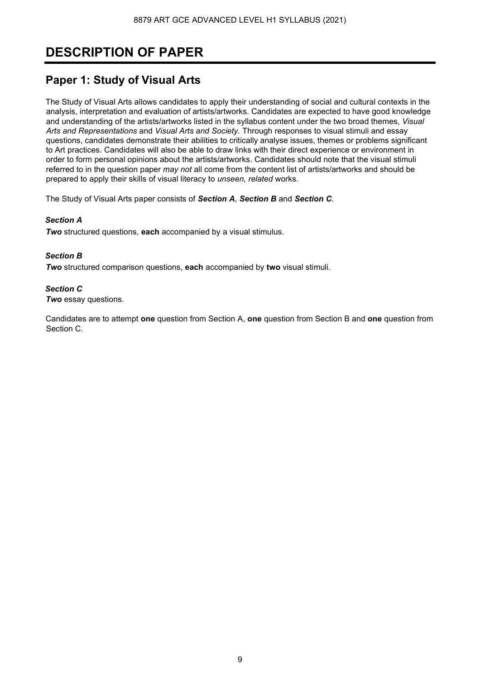# **DESCRIPTION OF PAPER**

# **Paper 1: Study of Visual Arts**

The Study of Visual Arts allows candidates to apply their understanding of social and cultural contexts in the analysis, interpretation and evaluation of artists/artworks. Candidates are expected to have good knowledge and understanding of the artists/artworks listed in the syllabus content under the two broad themes, *Visual Arts and Representations* and *Visual Arts and Society.* Through responses to visual stimuli and essay questions, candidates demonstrate their abilities to critically analyse issues, themes or problems significant to Art practices. Candidates will also be able to draw links with their direct experience or environment in order to form personal opinions about the artists/artworks. Candidates should note that the visual stimuli referred to in the question paper *may not* all come from the content list of artists/artworks and should be prepared to apply their skills of visual literacy to *unseen, related* works.

The Study of Visual Arts paper consists of *Section A*, *Section B* and *Section C*.

## *Section A*

*Two* structured questions, **each** accompanied by a visual stimulus.

### *Section B*

*Two* structured comparison questions, **each** accompanied by **two** visual stimuli.

### *Section C*

*Two* essay questions.

Candidates are to attempt **one** question from Section A, **one** question from Section B and **one** question from Section C.